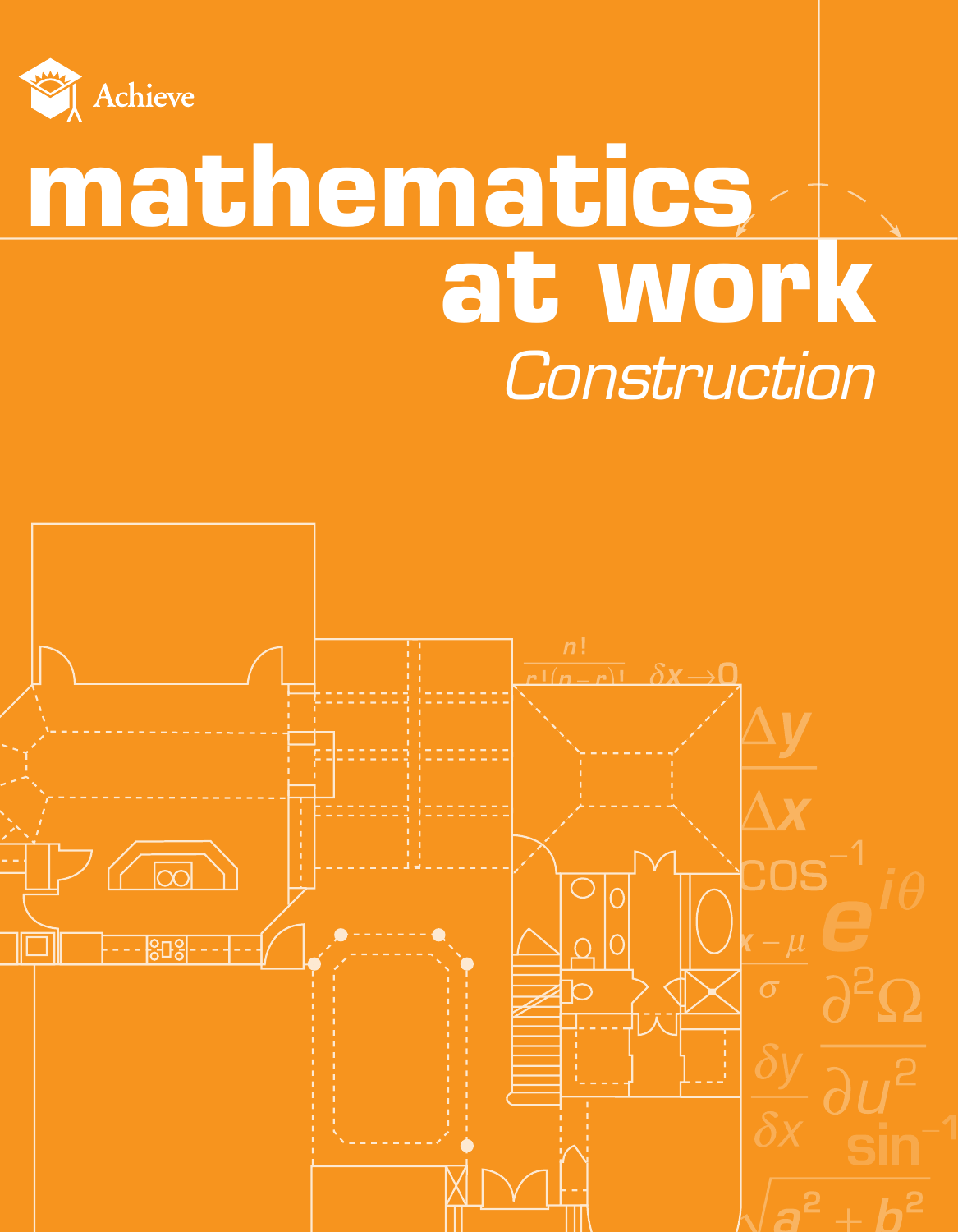

## **mathematics at work** *Construction*

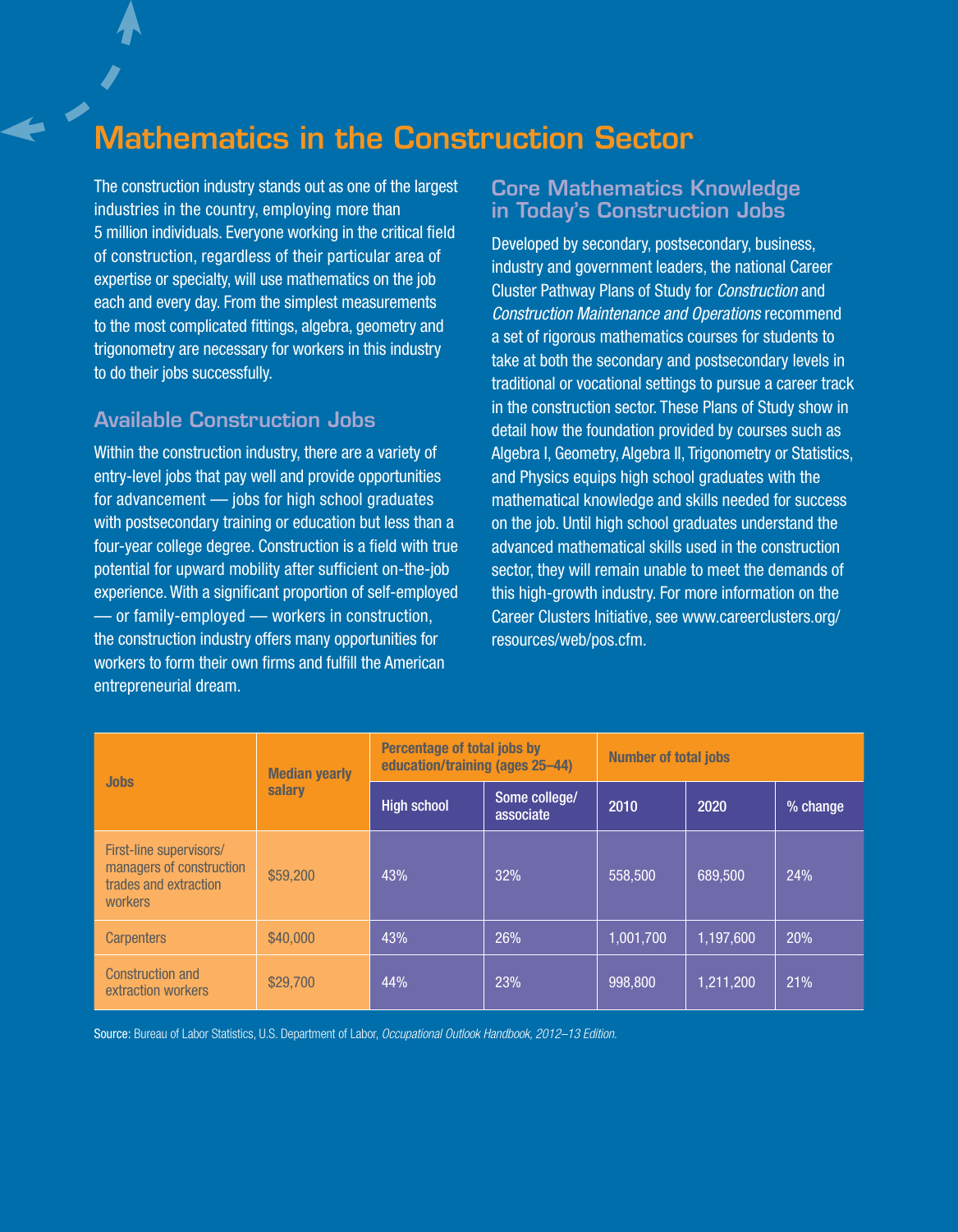## Mathematics in the Construction Sector

The construction industry stands out as one of the largest industries in the country, employing more than 5 million individuals. Everyone working in the critical field of construction, regardless of their particular area of expertise or specialty, will use mathematics on the job each and every day. From the simplest measurements to the most complicated fittings, algebra, geometry and trigonometry are necessary for workers in this industry to do their jobs successfully.

### Available Construction Jobs

Within the construction industry, there are a variety of entry-level jobs that pay well and provide opportunities for advancement — jobs for high school graduates with postsecondary training or education but less than a four-year college degree. Construction is a field with true potential for upward mobility after sufficient on-the-job experience. With a significant proportion of self-employed — or family-employed — workers in construction, the construction industry offers many opportunities for workers to form their own firms and fulfill the American entrepreneurial dream.

#### Core Mathematics Knowledge in Today's Construction Jobs

Developed by secondary, postsecondary, business, industry and government leaders, the national Career Cluster Pathway Plans of Study for *Construction* and *Construction Maintenance and Operations* recommend a set of rigorous mathematics courses for students to take at both the secondary and postsecondary levels in traditional or vocational settings to pursue a career track in the construction sector. These Plans of Study show in detail how the foundation provided by courses such as Algebra I, Geometry, Algebra II, Trigonometry or Statistics, and Physics equips high school graduates with the mathematical knowledge and skills needed for success on the job. Until high school graduates understand the advanced mathematical skills used in the construction sector, they will remain unable to meet the demands of this high-growth industry. For more information on the Career Clusters Initiative, see www.careerclusters.org/ resources/web/pos.cfm.

| <b>Jobs</b>                                                                             | <b>Median yearly</b><br>salary | Percentage of total jobs by<br>education/training (ages 25-44) |                            | <b>Number of total jobs</b> |           |          |
|-----------------------------------------------------------------------------------------|--------------------------------|----------------------------------------------------------------|----------------------------|-----------------------------|-----------|----------|
|                                                                                         |                                | <b>High school</b>                                             | Some college/<br>associate | 2010                        | 2020      | % change |
| First-line supervisors/<br>managers of construction<br>trades and extraction<br>workers | \$59,200                       | 43%                                                            | 32%                        | 558,500                     | 689.500   | 24%      |
| <b>Carpenters</b>                                                                       | \$40,000                       | 43%                                                            | 26%                        | 1,001,700                   | 1,197,600 | 20%      |
| Construction and<br>extraction workers                                                  | \$29,700                       | 44%                                                            | 23%                        | 998,800                     | 1.211.200 | 21%      |

Source: Bureau of Labor Statistics, U.S. Department of Labor, *Occupational Outlook Handbook, 2012–13 Edition.*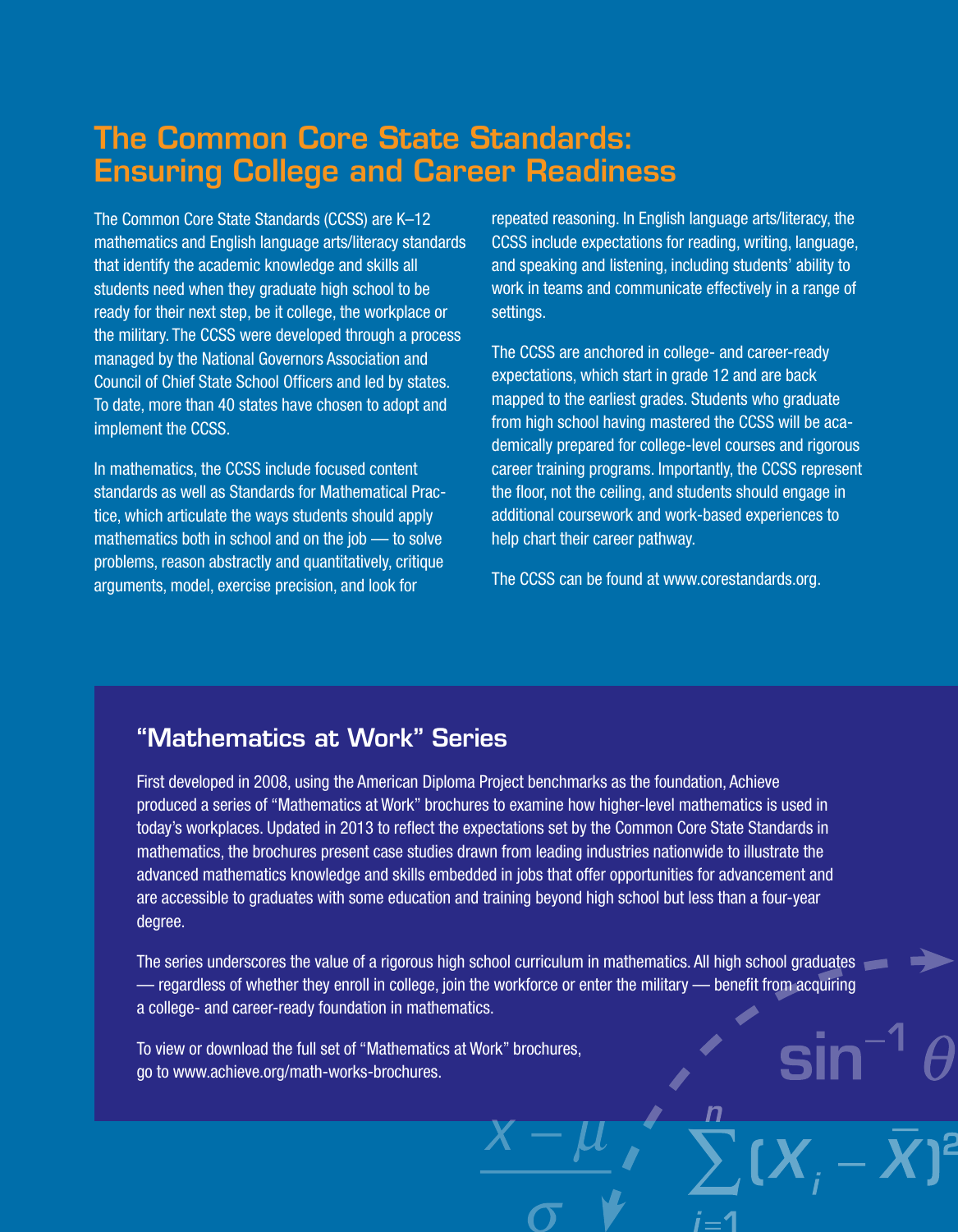## The Common Core State Standards: Ensuring College and Career Readiness

The Common Core State Standards (CCSS) are K–12 mathematics and English language arts/literacy standards that identify the academic knowledge and skills all students need when they graduate high school to be ready for their next step, be it college, the workplace or the military. The CCSS were developed through a process managed by the National Governors Association and Council of Chief State School Officers and led by states. To date, more than 40 states have chosen to adopt and implement the CCSS.

In mathematics, the CCSS include focused content standards as well as Standards for Mathematical Practice, which articulate the ways students should apply mathematics both in school and on the job — to solve problems, reason abstractly and quantitatively, critique arguments, model, exercise precision, and look for

repeated reasoning. In English language arts/literacy, the CCSS include expectations for reading, writing, language, and speaking and listening, including students' ability to work in teams and communicate effectively in a range of settings.

The CCSS are anchored in college- and career-ready expectations, which start in grade 12 and are back mapped to the earliest grades. Students who graduate from high school having mastered the CCSS will be academically prepared for college-level courses and rigorous career training programs. Importantly, the CCSS represent the floor, not the ceiling, and students should engage in additional coursework and work-based experiences to help chart their career pathway.

The CCSS can be found at www.corestandards.org.

## "Mathematics at Work" Series

First developed in 2008, using the American Diploma Project benchmarks as the foundation, Achieve produced a series of "Mathematics at Work" brochures to examine how higher-level mathematics is used in today's workplaces. Updated in 2013 to reflect the expectations set by the Common Core State Standards in mathematics, the brochures present case studies drawn from leading industries nationwide to illustrate the advanced mathematics knowledge and skills embedded in jobs that offer opportunities for advancement and are accessible to graduates with some education and training beyond high school but less than a four-year degree.

The series underscores the value of a rigorous high school curriculum in mathematics. All high school graduates — regardless of whether they enroll in college, join the workforce or enter the military — benefit from acquiring a college- and career-ready foundation in mathematics.

To view or download the full set of "Mathematics at Work" brochures, go to www.achieve.org/math-works-brochures.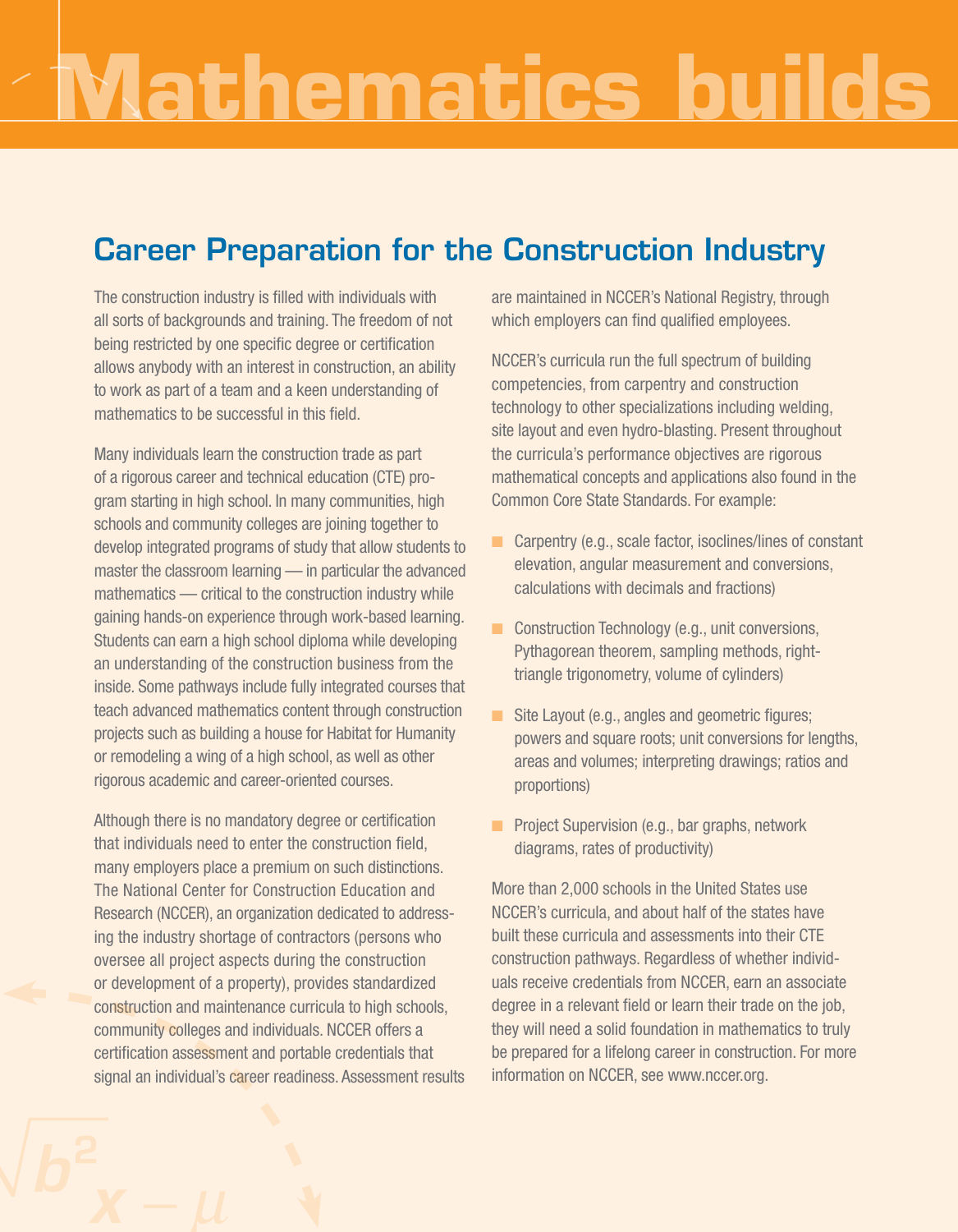# **Mathematics builds the foundation**

## Career Preparation for the Construction Industry

The construction industry is filled with individuals with all sorts of backgrounds and training. The freedom of not being restricted by one specific degree or certification allows anybody with an interest in construction, an ability to work as part of a team and a keen understanding of mathematics to be successful in this field.

Many individuals learn the construction trade as part of a rigorous career and technical education (CTE) program starting in high school. In many communities, high schools and community colleges are joining together to develop integrated programs of study that allow students to master the classroom learning — in particular the advanced mathematics — critical to the construction industry while gaining hands-on experience through work-based learning. Students can earn a high school diploma while developing an understanding of the construction business from the inside. Some pathways include fully integrated courses that teach advanced mathematics content through construction projects such as building a house for Habitat for Humanity or remodeling a wing of a high school, as well as other rigorous academic and career-oriented courses.

Although there is no mandatory degree or certification that individuals need to enter the construction field, many employers place a premium on such distinctions. The National Center for Construction Education and Research (NCCER), an organization dedicated to addressing the industry shortage of contractors (persons who oversee all project aspects during the construction or development of a property), provides standardized construction and maintenance curricula to high schools, community colleges and individuals. NCCER offers a certification assessment and portable credentials that signal an individual's career readiness. Assessment results are maintained in NCCER's National Registry, through which employers can find qualified employees.

NCCER's curricula run the full spectrum of building competencies, from carpentry and construction technology to other specializations including welding, site layout and even hydro-blasting. Present throughout the curricula's performance objectives are rigorous mathematical concepts and applications also found in the Common Core State Standards. For example:

- $\blacksquare$  Carpentry (e.g., scale factor, isoclines/lines of constant elevation, angular measurement and conversions, calculations with decimals and fractions)
- $\Box$  Construction Technology (e.g., unit conversions, Pythagorean theorem, sampling methods, righttriangle trigonometry, volume of cylinders)
- Site Layout (e.g., angles and geometric figures; powers and square roots; unit conversions for lengths, areas and volumes; interpreting drawings; ratios and proportions)
- **n** Project Supervision (e.g., bar graphs, network diagrams, rates of productivity)

More than 2,000 schools in the United States use NCCER's curricula, and about half of the states have built these curricula and assessments into their CTE construction pathways. Regardless of whether individuals receive credentials from NCCER, earn an associate degree in a relevant field or learn their trade on the job, they will need a solid foundation in mathematics to truly be prepared for a lifelong career in construction. For more information on NCCER, see www.nccer.org.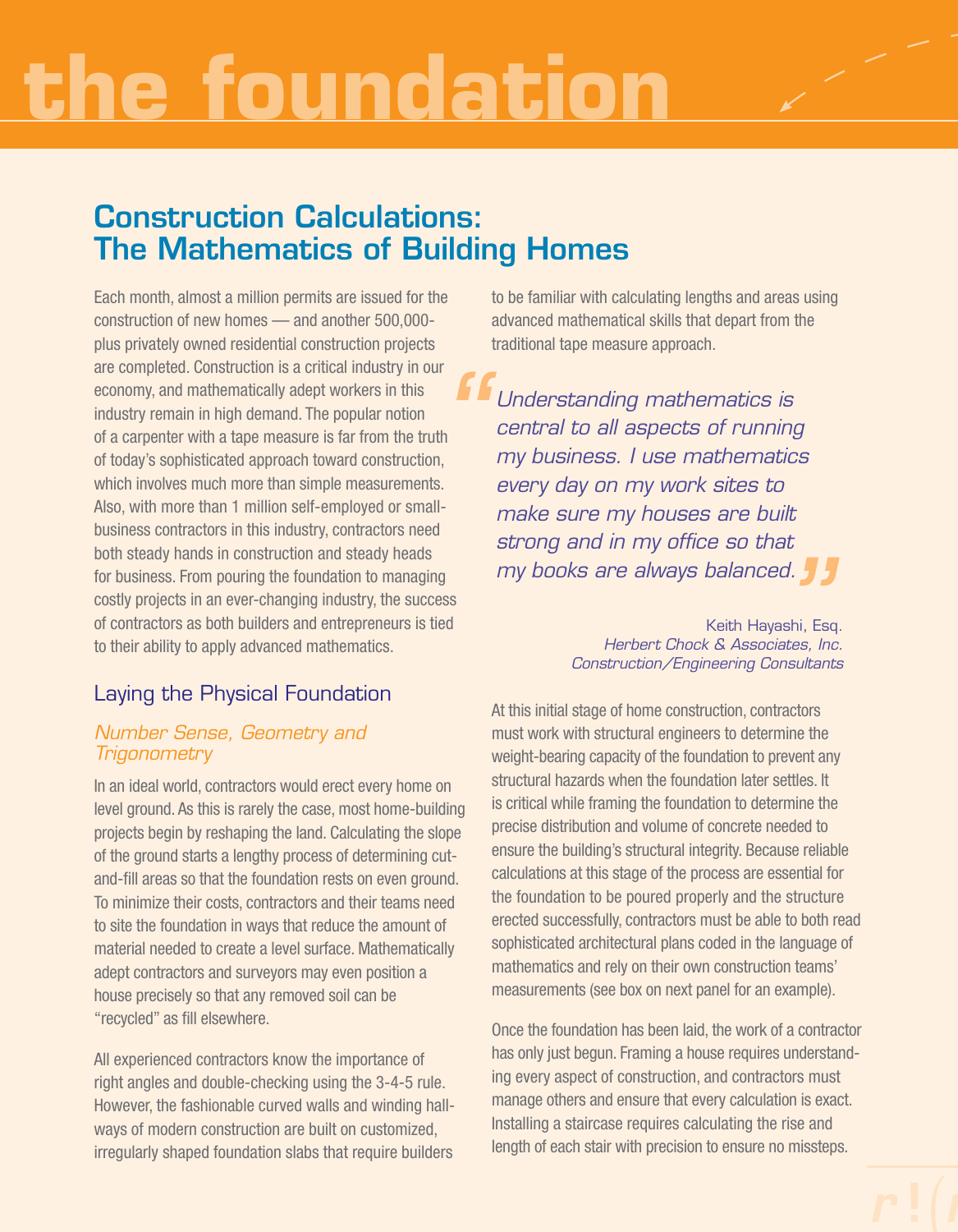## **the foundation**

## Construction Calculations: The Mathematics of Building Homes

Each month, almost a million permits are issued for the construction of new homes — and another 500,000 plus privately owned residential construction projects are completed. Construction is a critical industry in our economy, and mathematically adept workers in this industry remain in high demand. The popular notion of a carpenter with a tape measure is far from the truth of today's sophisticated approach toward construction, which involves much more than simple measurements. Also, with more than 1 million self-employed or smallbusiness contractors in this industry, contractors need both steady hands in construction and steady heads for business. From pouring the foundation to managing costly projects in an ever-changing industry, the success of contractors as both builders and entrepreneurs is tied to their ability to apply advanced mathematics. **f**<br>th<br>s.<br>..

## Laying the Physical Foundation

#### *Number Sense, Geometry and Trigonometry*

In an ideal world, contractors would erect every home on level ground. As this is rarely the case, most home-building projects begin by reshaping the land. Calculating the slope of the ground starts a lengthy process of determining cutand-fill areas so that the foundation rests on even ground. To minimize their costs, contractors and their teams need to site the foundation in ways that reduce the amount of material needed to create a level surface. Mathematically adept contractors and surveyors may even position a house precisely so that any removed soil can be "recycled" as fill elsewhere.

All experienced contractors know the importance of right angles and double-checking using the 3-4-5 rule. However, the fashionable curved walls and winding hallways of modern construction are built on customized, irregularly shaped foundation slabs that require builders

to be familiar with calculating lengths and areas using advanced mathematical skills that depart from the traditional tape measure approach.

*Understanding mathematics is central to all aspects of running my business. I use mathematics every day on my work sites to make sure my houses are built strong and in my office so that*

**my books are always balanced.<br>
<sup>Keith</sup> Hayashi, Estip Merbert Chock & Associates, In<br>** *Construction/Engineering Consultal* Keith Hayashi, Esq. *Herbert Chock & Associates, Inc. Construction/Engineering Consultants* 

At this initial stage of home construction, contractors must work with structural engineers to determine the weight-bearing capacity of the foundation to prevent any structural hazards when the foundation later settles. It is critical while framing the foundation to determine the precise distribution and volume of concrete needed to ensure the building's structural integrity. Because reliable calculations at this stage of the process are essential for the foundation to be poured properly and the structure erected successfully, contractors must be able to both read sophisticated architectural plans coded in the language of mathematics and rely on their own construction teams' measurements (see box on next panel for an example).

Once the foundation has been laid, the work of a contractor has only just begun. Framing a house requires understanding every aspect of construction, and contractors must manage others and ensure that every calculation is exact. Installing a staircase requires calculating the rise and length of each stair with precision to ensure no missteps.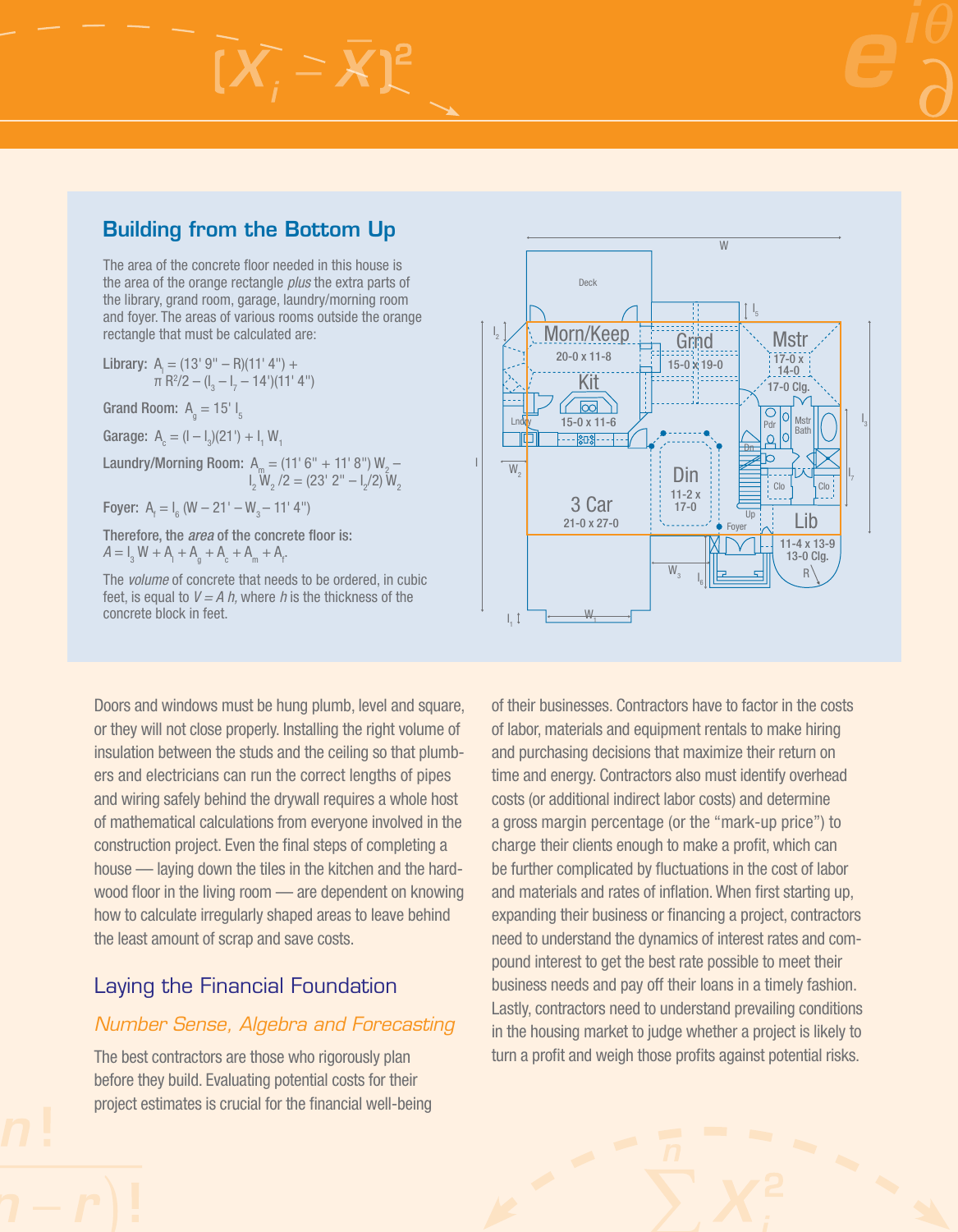### Building from the Bottom Up

 $[X]$   $=$   $X$ ]<sup>2</sup>

The area of the concrete floor needed in this house is the area of the orange rectangle *plus* the extra parts of the library, grand room, garage, laundry/morning room and foyer. The areas of various rooms outside the orange rectangle that must be calculated are:

Library:  $A_1 = (13' 9'' - R)(11' 4'') +$  $\pi$  R<sup>2</sup>/2 – (l<sub>3</sub> – l<sub>7</sub> – 14')(11' 4") Grand Room:  $A_q = 15' I_5$ Garage:  $A_c = (I - I_3)(21') + I_1 W_1$ Laundry/Morning Room:  $A_m = (11' 6'' + 11' 8'') W_2$ l<sub>2</sub>  $W_2$  /2 = (23' 2" –  $I_2$ /2)  $W_2$ Foyer:  $A_f = I_6$  (W – 21' – W<sub>3</sub> – 11' 4") Therefore, the *area* of the concrete floor is:  $A = I_3 W + A_1 + A_9 + A_6 + A_m + A_f.$ 

The *volume* of concrete that needs to be ordered, in cubic feet, is equal to *V = A h,* where *h* is the thickness of the concrete block in feet.

Doors and windows must be hung plumb, level and square, or they will not close properly. Installing the right volume of insulation between the studs and the ceiling so that plumbers and electricians can run the correct lengths of pipes and wiring safely behind the drywall requires a whole host of mathematical calculations from everyone involved in the construction project. Even the final steps of completing a house — laying down the tiles in the kitchen and the hardwood floor in the living room — are dependent on knowing how to calculate irregularly shaped areas to leave behind the least amount of scrap and save costs.

### Laying the Financial Foundation

#### *Number Sense, Algebra and Forecasting*

The best contractors are those who rigorously plan before they build. Evaluating potential costs for their project estimates is crucial for the financial well-being



of their businesses. Contractors have to factor in the costs of labor, materials and equipment rentals to make hiring and purchasing decisions that maximize their return on time and energy. Contractors also must identify overhead costs (or additional indirect labor costs) and determine a gross margin percentage (or the "mark-up price") to charge their clients enough to make a profit, which can be further complicated by fluctuations in the cost of labor and materials and rates of inflation. When first starting up, expanding their business or financing a project, contractors need to understand the dynamics of interest rates and compound interest to get the best rate possible to meet their business needs and pay off their loans in a timely fashion. Lastly, contractors need to understand prevailing conditions in the housing market to judge whether a project is likely to turn a profit and weigh those profits against potential risks.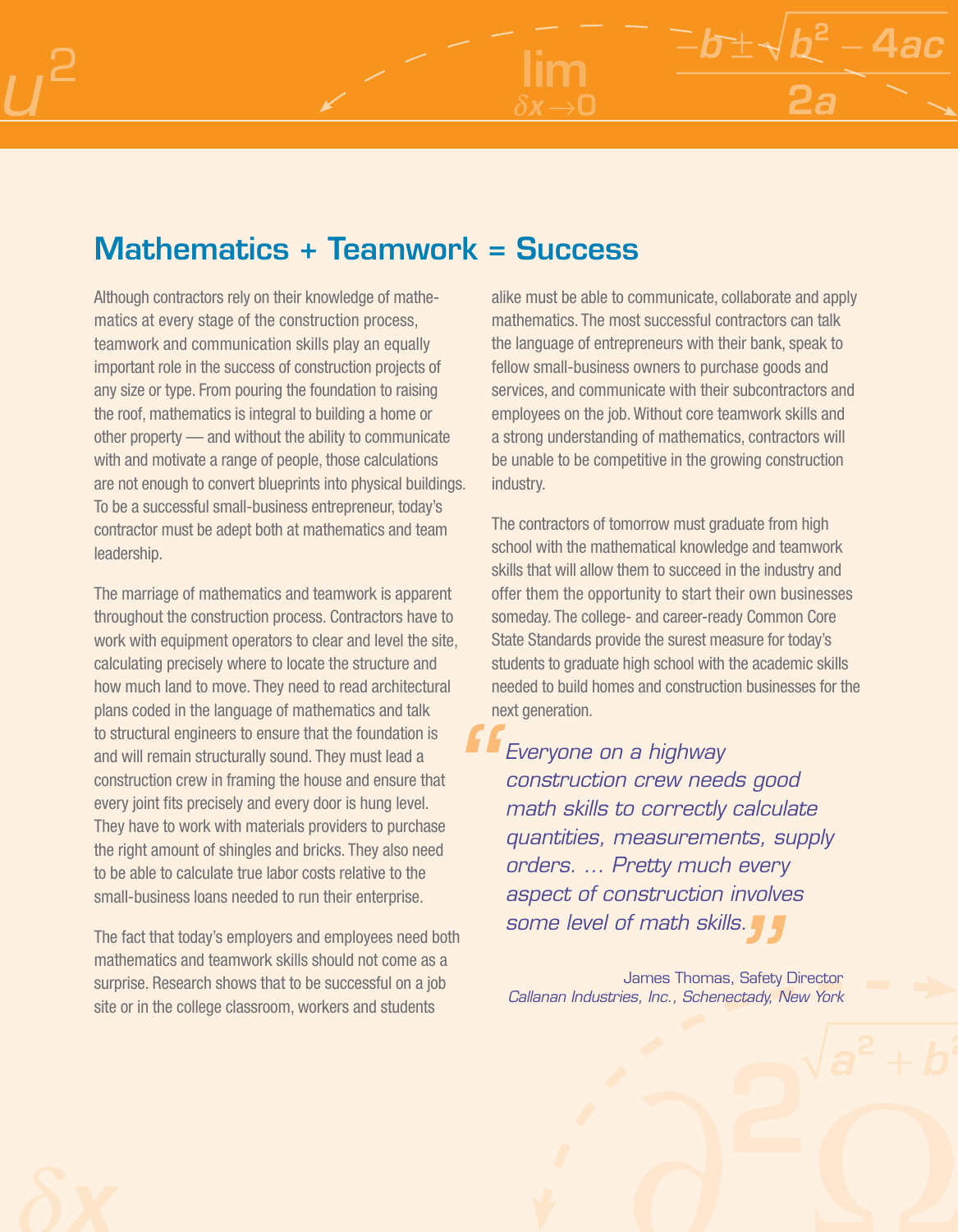## Mathematics + Teamwork = Success

Although contractors rely on their knowledge of mathematics at every stage of the construction process, teamwork and communication skills play an equally important role in the success of construction projects of any size or type. From pouring the foundation to raising the roof, mathematics is integral to building a home or other property — and without the ability to communicate with and motivate a range of people, those calculations are not enough to convert blueprints into physical buildings. To be a successful small-business entrepreneur, today's contractor must be adept both at mathematics and team leadership.

The marriage of mathematics and teamwork is apparent throughout the construction process. Contractors have to work with equipment operators to clear and level the site, calculating precisely where to locate the structure and how much land to move. They need to read architectural plans coded in the language of mathematics and talk to structural engineers to ensure that the foundation is and will remain structurally sound. They must lead a construction crew in framing the house and ensure that every joint fits precisely and every door is hung level. They have to work with materials providers to purchase the right amount of shingles and bricks. They also need to be able to calculate true labor costs relative to the small-business loans needed to run their enterprise. *"*

The fact that today's employers and employees need both mathematics and teamwork skills should not come as a surprise. Research shows that to be successful on a job site or in the college classroom, workers and students

alike must be able to communicate, collaborate and apply mathematics. The most successful contractors can talk the language of entrepreneurs with their bank, speak to fellow small-business owners to purchase goods and services, and communicate with their subcontractors and employees on the job. Without core teamwork skills and a strong understanding of mathematics, contractors will be unable to be competitive in the growing construction industry.

 $2^2 - 4ac$ 

The contractors of tomorrow must graduate from high school with the mathematical knowledge and teamwork skills that will allow them to succeed in the industry and offer them the opportunity to start their own businesses someday. The college- and career-ready Common Core State Standards provide the surest measure for today's students to graduate high school with the academic skills needed to build homes and construction businesses for the next generation.

*Everyone on a highway construction crew needs good math skills to correctly calculate quantities, measurements, supply orders. ... Pretty much every aspect of construction involves some level of math skills.*

James Thomas, Safety Director *Callanan Industries, Inc., Schenectady, New York ||S.<br>|s, Safet<br>|ectady,*